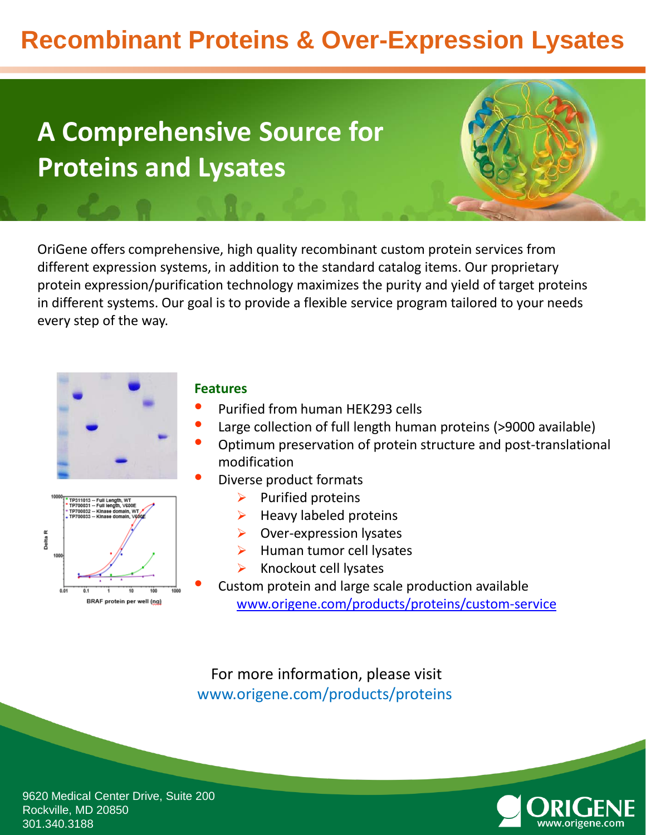# **Recombinant Proteins & Over-Expression Lysates**

# **A Comprehensive Source for Proteins and Lysates**

OriGene offers comprehensive, high quality recombinant custom protein services from different expression systems, in addition to the standard catalog items. Our proprietary protein expression/purification technology maximizes the purity and yield of target proteins in different systems. Our goal is to provide a flexible service program tailored to your needs every step of the way.





### **Features**

- Purified from human HEK293 cells
- Large collection of full length human proteins (>9000 available)
- Optimum preservation of protein structure and post-translational modification
- Diverse product formats
	- $\triangleright$  Purified proteins
	- $\blacktriangleright$  Heavy labeled proteins
	- $\triangleright$  Over-expression lysates
	- $\blacktriangleright$  Human tumor cell lysates
	- $\triangleright$  Knockout cell lysates

• Custom protein and large scale production available [www.origene.com/products/proteins/custom-service](https://www.origene.com/products/proteins/custom-service)

For more information, please visit www.origene.com/products/proteins



9620 Medical Center Drive, Suite 200 Rockville, MD 20850 301.340.3188